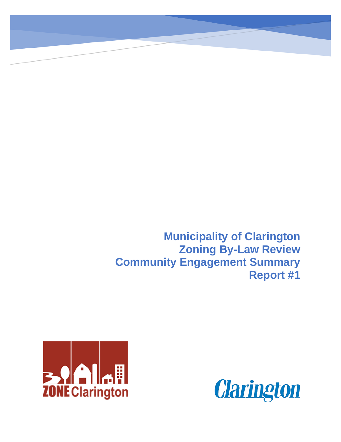**Municipality of Clarington Zoning By-Law Review Community Engagement Summary Report #1**



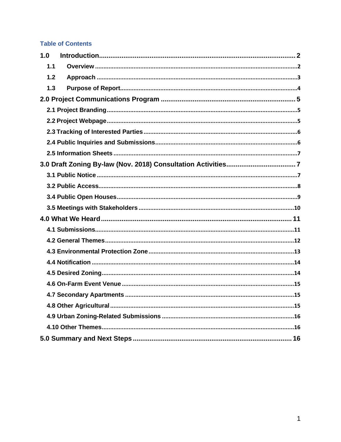#### **Table of Contents**

| 1.0 |  |  |
|-----|--|--|
| 1.1 |  |  |
| 1.2 |  |  |
| 1.3 |  |  |
|     |  |  |
|     |  |  |
|     |  |  |
|     |  |  |
|     |  |  |
|     |  |  |
|     |  |  |
|     |  |  |
|     |  |  |
|     |  |  |
|     |  |  |
|     |  |  |
|     |  |  |
|     |  |  |
|     |  |  |
|     |  |  |
|     |  |  |
|     |  |  |
|     |  |  |
|     |  |  |
|     |  |  |
|     |  |  |
|     |  |  |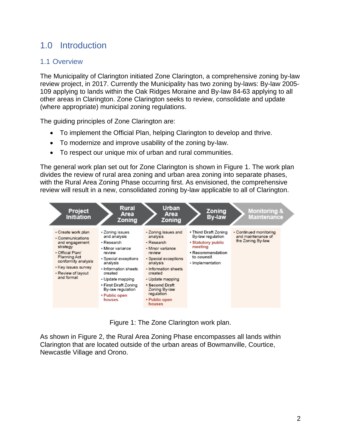# <span id="page-2-0"></span>1.0 Introduction

## <span id="page-2-1"></span>1.1 Overview

The Municipality of Clarington initiated Zone Clarington, a comprehensive zoning by-law review project, in 2017. Currently the Municipality has two zoning by-laws: [By-law 2005-](https://www.clarington.net/en/do-business/current-zoning-by-laws.asp) [109](https://www.clarington.net/en/do-business/current-zoning-by-laws.asp) applying to lands within the Oak Ridges Moraine and By-law 84-63 applying to all other areas in Clarington. Zone Clarington seeks to review, consolidate and update (where appropriate) municipal zoning regulations.

The guiding principles of Zone Clarington are:

- To implement the Official Plan, helping Clarington to develop and thrive.
- To modernize and improve usability of the zoning by-law.
- To respect our unique mix of urban and rural communities.

The general work plan set out for Zone Clarington is shown in Figure 1. The work plan divides the review of rural area zoning and urban area zoning into separate phases, with the Rural Area Zoning Phase occurring first. As envisioned, the comprehensive review will result in a new, consolidated zoning by-law applicable to all of Clarington.



Figure 1: The Zone Clarington work plan.

As shown in Figure 2, the Rural Area Zoning Phase encompasses all lands within Clarington that are located outside of the urban areas of Bowmanville, Courtice, Newcastle Village and Orono.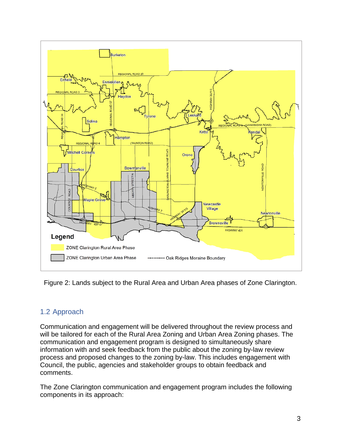

Figure 2: Lands subject to the Rural Area and Urban Area phases of Zone Clarington.

#### <span id="page-3-0"></span>1.2 Approach

Communication and engagement will be delivered throughout the review process and will be tailored for each of the Rural Area Zoning and Urban Area Zoning phases. The communication and engagement program is designed to simultaneously share information with and seek feedback from the public about the zoning by-law review process and proposed changes to the zoning by-law. This includes engagement with Council, the public, agencies and stakeholder groups to obtain feedback and comments.

The Zone Clarington communication and engagement program includes the following components in its approach: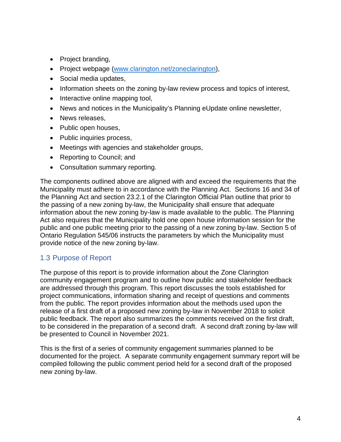- Project branding,
- Project webpage [\(www.clarington.net/zoneclarington\)](http://www.clarington.net/zoneclarington),
- Social media updates,
- Information sheets on the zoning by-law review process and topics of interest,
- Interactive online mapping tool,
- News and notices in the Municipality's Planning eUpdate online newsletter,
- News releases,
- Public open houses,
- Public inquiries process,
- Meetings with agencies and stakeholder groups,
- Reporting to Council; and
- Consultation summary reporting.

The components outlined above are aligned with and exceed the requirements that the Municipality must adhere to in accordance with the Planning Act. Sections 16 and 34 of the Planning Act and section 23.2.1 of the Clarington Official Plan outline that prior to the passing of a new zoning by-law, the Municipality shall ensure that adequate information about the new zoning by-law is made available to the public. The Planning Act also requires that the Municipality hold one open house information session for the public and one public meeting prior to the passing of a new zoning by-law. Section 5 of Ontario Regulation 545/06 instructs the parameters by which the Municipality must provide notice of the new zoning by-law.

#### <span id="page-4-0"></span>1.3 Purpose of Report

The purpose of this report is to provide information about the Zone Clarington community engagement program and to outline how public and stakeholder feedback are addressed through this program. This report discusses the tools established for project communications, information sharing and receipt of questions and comments from the public. The report provides information about the methods used upon the release of a first draft of a proposed new zoning by-law in November 2018 to solicit public feedback. The report also summarizes the comments received on the first draft, to be considered in the preparation of a second draft. A second draft zoning by-law will be presented to Council in November 2021.

This is the first of a series of community engagement summaries planned to be documented for the project. A separate community engagement summary report will be compiled following the public comment period held for a second draft of the proposed new zoning by-law.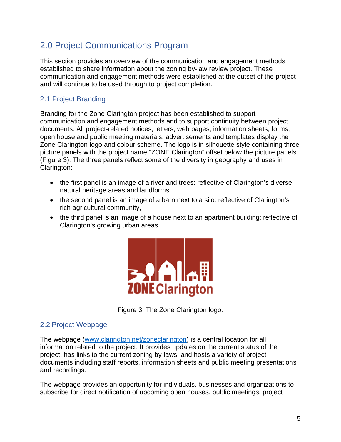# <span id="page-5-0"></span>2.0 Project Communications Program

This section provides an overview of the communication and engagement methods established to share information about the zoning by-law review project. These communication and engagement methods were established at the outset of the project and will continue to be used through to project completion.

## <span id="page-5-1"></span>2.1 Project Branding

Branding for the Zone Clarington project has been established to support communication and engagement methods and to support continuity between project documents. All project-related notices, letters, web pages, information sheets, forms, open house and public meeting materials, advertisements and templates display the Zone Clarington logo and colour scheme. The logo is in silhouette style containing three picture panels with the project name "ZONE Clarington" offset below the picture panels (Figure 3). The three panels reflect some of the diversity in geography and uses in Clarington:

- the first panel is an image of a river and trees: reflective of Clarington's diverse natural heritage areas and landforms,
- the second panel is an image of a barn next to a silo: reflective of Clarington's rich agricultural community,
- the third panel is an image of a house next to an apartment building: reflective of Clarington's growing urban areas.





#### <span id="page-5-2"></span>2.2 Project Webpage

The webpage (www.clarington.net/zoneclarington) is a central location for all information related to the project. It provides updates on the current status of the project, has links to the current zoning by-laws, and hosts a variety of project documents including staff reports, information sheets and public meeting presentations and recordings.

The webpage provides an opportunity for individuals, businesses and organizations to subscribe for direct notification of upcoming open houses, public meetings, project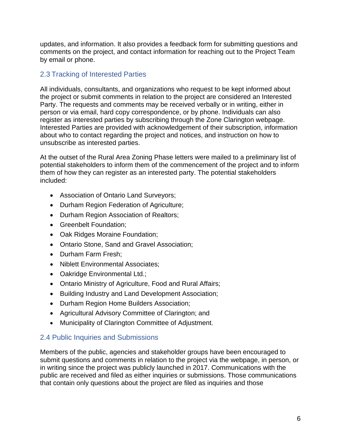updates, and information. It also provides a feedback form for submitting questions and comments on the project, and contact information for reaching out to the Project Team by email or phone.

#### <span id="page-6-0"></span>2.3 Tracking of Interested Parties

All individuals, consultants, and organizations who request to be kept informed about the project or submit comments in relation to the project are considered an Interested Party. The requests and comments may be received verbally or in writing, either in person or via email, hard copy correspondence, or by phone. Individuals can also register as interested parties by subscribing through the Zone Clarington webpage. Interested Parties are provided with acknowledgement of their subscription, information about who to contact regarding the project and notices, and instruction on how to unsubscribe as interested parties.

At the outset of the Rural Area Zoning Phase letters were mailed to a preliminary list of potential stakeholders to inform them of the commencement of the project and to inform them of how they can register as an interested party. The potential stakeholders included:

- Association of Ontario Land Surveyors;
- Durham Region Federation of Agriculture;
- Durham Region Association of Realtors;
- Greenbelt Foundation;
- Oak Ridges Moraine Foundation;
- Ontario Stone, Sand and Gravel Association;
- Durham Farm Fresh;
- Niblett Environmental Associates;
- Oakridge Environmental Ltd.;
- Ontario Ministry of Agriculture, Food and Rural Affairs;
- Building Industry and Land Development Association;
- Durham Region Home Builders Association;
- Agricultural Advisory Committee of Clarington; and
- Municipality of Clarington Committee of Adjustment.

## <span id="page-6-1"></span>2.4 Public Inquiries and Submissions

Members of the public, agencies and stakeholder groups have been encouraged to submit questions and comments in relation to the project via the webpage, in person, or in writing since the project was publicly launched in 2017. Communications with the public are received and filed as either inquiries or submissions. Those communications that contain only questions about the project are filed as inquiries and those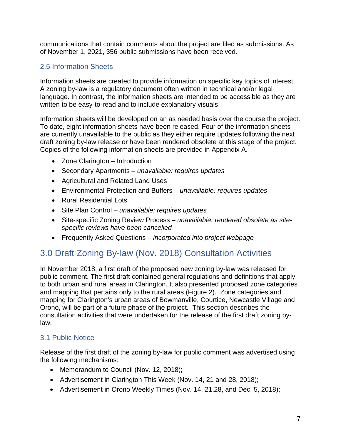communications that contain comments about the project are filed as submissions. As of November 1, 2021, 356 public submissions have been received.

## <span id="page-7-0"></span>2.5 Information Sheets

Information sheets are created to provide information on specific key topics of interest. A zoning by-law is a regulatory document often written in technical and/or legal language. In contrast, the information sheets are intended to be accessible as they are written to be easy-to-read and to include explanatory visuals.

Information sheets will be developed on an as needed basis over the course the project. To date, eight information sheets have been released. Four of the information sheets are currently unavailable to the public as they either require updates following the next draft zoning by-law release or have been rendered obsolete at this stage of the project. Copies of the following information sheets are provided in Appendix A.

- Zone Clarington Introduction
- Secondary Apartments *unavailable: requires updates*
- Agricultural and Related Land Uses
- Environmental Protection and Buffers *unavailable: requires updates*
- Rural Residential Lots
- Site Plan Control *unavailable: requires updates*
- Site-specific Zoning Review Process *unavailable: rendered obsolete as sitespecific reviews have been cancelled*
- Frequently Asked Questions *incorporated into project webpage*

## <span id="page-7-1"></span>3.0 Draft Zoning By-law (Nov. 2018) Consultation Activities

In November 2018, a first draft of the proposed new zoning by-law was released for public comment. The first draft contained general regulations and definitions that apply to both urban and rural areas in Clarington. It also presented proposed zone categories and mapping that pertains only to the rural areas (Figure 2). Zone categories and mapping for Clarington's urban areas of Bowmanville, Courtice, Newcastle Village and Orono, will be part of a future phase of the project. This section describes the consultation activities that were undertaken for the release of the first draft zoning bylaw.

#### <span id="page-7-2"></span>3.1 Public Notice

Release of the first draft of the zoning by-law for public comment was advertised using the following mechanisms:

- Memorandum to Council (Nov. 12, 2018);
- Advertisement in Clarington This Week (Nov. 14, 21 and 28, 2018);
- Advertisement in Orono Weekly Times (Nov. 14, 21,28, and Dec. 5, 2018);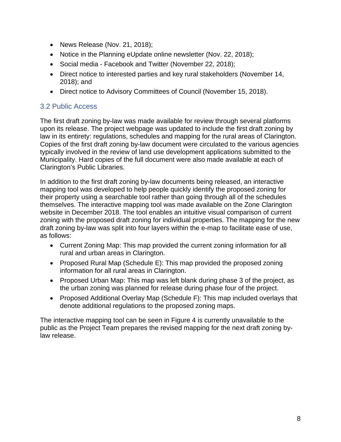- News Release (Nov. 21, 2018);
- Notice in the Planning eUpdate online newsletter (Nov. 22, 2018);
- Social media Facebook and Twitter (November 22, 2018);
- Direct notice to interested parties and key rural stakeholders (November 14, 2018); and
- Direct notice to Advisory Committees of Council (November 15, 2018).

#### <span id="page-8-0"></span>3.2 Public Access

The first draft zoning by-law was made available for review through several platforms upon its release. The project webpage was updated to include the first draft zoning by law in its entirety: regulations, schedules and mapping for the rural areas of Clarington. Copies of the first draft zoning by-law document were circulated to the various agencies typically involved in the review of land use development applications submitted to the Municipality. Hard copies of the full document were also made available at each of Clarington's Public Libraries.

In addition to the first draft zoning by-law documents being released, an interactive mapping tool was developed to help people quickly identify the proposed zoning for their property using a searchable tool rather than going through all of the schedules themselves. The interactive mapping tool was made available on the Zone Clarington website in December 2018. The tool enables an intuitive visual comparison of current zoning with the proposed draft zoning for individual properties. The mapping for the new draft zoning by-law was split into four layers within the e-map to facilitate ease of use, as follows:

- Current Zoning Map: This map provided the current zoning information for all rural and urban areas in Clarington.
- Proposed Rural Map (Schedule E): This map provided the proposed zoning information for all rural areas in Clarington.
- Proposed Urban Map: This map was left blank during phase 3 of the project, as the urban zoning was planned for release during phase four of the project.
- Proposed Additional Overlay Map (Schedule F): This map included overlays that denote additional regulations to the proposed zoning maps.

The interactive mapping tool can be seen in Figure 4 is currently unavailable to the public as the Project Team prepares the revised mapping for the next draft zoning bylaw release.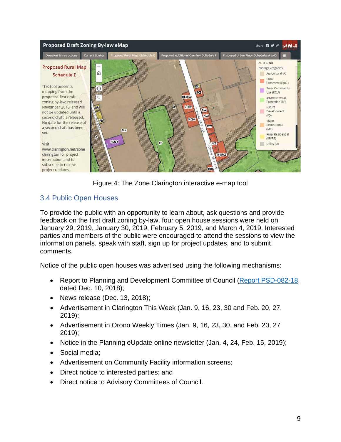

Figure 4: The Zone Clarington interactive e-map tool

## <span id="page-9-0"></span>3.4 Public Open Houses

To provide the public with an opportunity to learn about, ask questions and provide feedback on the first draft zoning by-law, four open house sessions were held on January 29, 2019, January 30, 2019, February 5, 2019, and March 4, 2019. Interested parties and members of the public were encouraged to attend the sessions to view the information panels, speak with staff, sign up for project updates, and to submit comments.

Notice of the public open houses was advertised using the following mechanisms:

- Report to Planning and Development Committee of Council [\(Report PSD-082-18,](https://weblink.clarington.net/weblink/0/edoc/141837/PSD-082-18.pdf) dated Dec. 10, 2018);
- News release (Dec. 13, 2018);
- Advertisement in Clarington This Week (Jan. 9, 16, 23, 30 and Feb. 20, 27, 2019);
- Advertisement in Orono Weekly Times (Jan. 9, 16, 23, 30, and Feb. 20, 27 2019);
- Notice in the Planning eUpdate online newsletter (Jan. 4, 24, Feb. 15, 2019);
- Social media;
- Advertisement on Community Facility information screens;
- Direct notice to interested parties; and
- Direct notice to Advisory Committees of Council.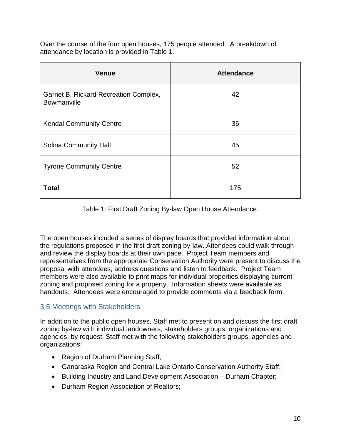Over the course of the four open houses, 175 people attended. A breakdown of attendance by location is provided in Table 1.

| <b>Venue</b>                                         | <b>Attendance</b> |
|------------------------------------------------------|-------------------|
| Garnet B. Rickard Recreation Complex,<br>Bowmanville | 42                |
| <b>Kendal Community Centre</b>                       | 36                |
| <b>Solina Community Hall</b>                         | 45                |
| <b>Tyrone Community Centre</b>                       | 52                |
| <b>Total</b>                                         | 175               |

Table 1: First Draft Zoning By-law Open House Attendance.

The open houses included a series of display boards that provided information about the regulations proposed in the first draft zoning by-law. Attendees could walk through and review the display boards at their own pace. Project Team members and representatives from the appropriate Conservation Authority were present to discuss the proposal with attendees, address questions and listen to feedback. Project Team members were also available to print maps for individual properties displaying current zoning and proposed zoning for a property. Information sheets were available as handouts. Attendees were encouraged to provide comments via a feedback form.

#### <span id="page-10-0"></span>3.5 Meetings with Stakeholders

In addition to the public open houses, Staff met to present on and discuss the first draft zoning by-law with individual landowners, stakeholders groups, organizations and agencies, by request. Staff met with the following stakeholders groups, agencies and organizations:

- Region of Durham Planning Staff;
- Ganaraska Region and Central Lake Ontario Conservation Authority Staff;
- Building Industry and Land Development Association Durham Chapter;
- Durham Region Association of Realtors;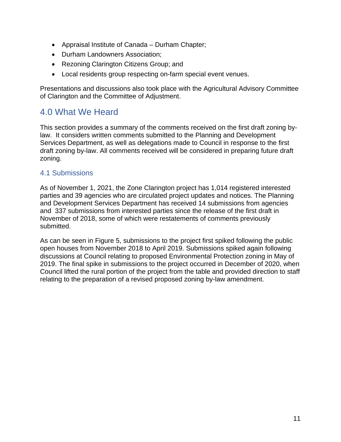- Appraisal Institute of Canada Durham Chapter;
- Durham Landowners Association;
- Rezoning Clarington Citizens Group; and
- Local residents group respecting on-farm special event venues.

Presentations and discussions also took place with the Agricultural Advisory Committee of Clarington and the Committee of Adjustment.

## <span id="page-11-0"></span>4.0 What We Heard

This section provides a summary of the comments received on the first draft zoning bylaw. It considers written comments submitted to the Planning and Development Services Department, as well as delegations made to Council in response to the first draft zoning by-law. All comments received will be considered in preparing future draft zoning.

#### <span id="page-11-1"></span>4.1 Submissions

As of November 1, 2021, the Zone Clarington project has 1,014 registered interested parties and 39 agencies who are circulated project updates and notices. The Planning and Development Services Department has received 14 submissions from agencies and 337 submissions from interested parties since the release of the first draft in November of 2018, some of which were restatements of comments previously submitted.

As can be seen in Figure 5, submissions to the project first spiked following the public open houses from November 2018 to April 2019. Submissions spiked again following discussions at Council relating to proposed Environmental Protection zoning in May of 2019. The final spike in submissions to the project occurred in December of 2020, when Council lifted the rural portion of the project from the table and provided direction to staff relating to the preparation of a revised proposed zoning by-law amendment.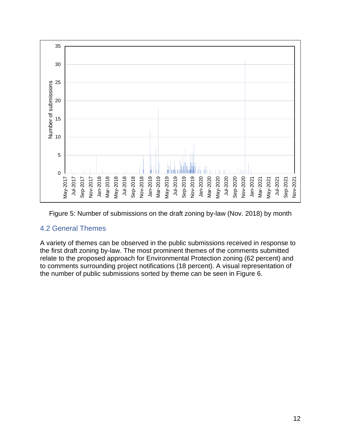

Figure 5: Number of submissions on the draft zoning by-law (Nov. 2018) by month

#### <span id="page-12-0"></span>4.2 General Themes

A variety of themes can be observed in the public submissions received in response to the first draft zoning by-law. The most prominent themes of the comments submitted relate to the proposed approach for Environmental Protection zoning (62 percent) and to comments surrounding project notifications (18 percent). A visual representation of the number of public submissions sorted by theme can be seen in Figure 6.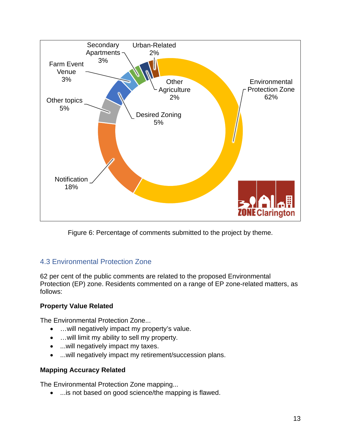

Figure 6: Percentage of comments submitted to the project by theme.

## <span id="page-13-0"></span>4.3 Environmental Protection Zone

62 per cent of the public comments are related to the proposed Environmental Protection (EP) zone. Residents commented on a range of EP zone-related matters, as follows:

#### **Property Value Related**

The Environmental Protection Zone...

- …will negatively impact my property's value.
- …will limit my ability to sell my property.
- ...will negatively impact my taxes.
- ...will negatively impact my retirement/succession plans.

#### **Mapping Accuracy Related**

The Environmental Protection Zone mapping...

• ...is not based on good science/the mapping is flawed.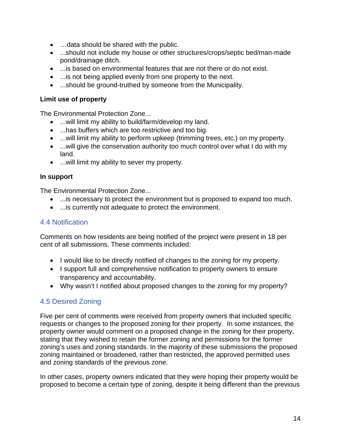- …data should be shared with the public.
- ...should not include my house or other structures/crops/septic bed/man-made pond/drainage ditch.
- ...is based on environmental features that are not there or do not exist.
- ...is not being applied evenly from one property to the next.
- ...should be ground-truthed by someone from the Municipality.

#### **Limit use of property**

The Environmental Protection Zone...

- ...will limit my ability to build/farm/develop my land.
- ...has buffers which are too restrictive and too big.
- ...will limit my ability to perform upkeep (trimming trees, etc.) on my property.
- ... will give the conservation authority too much control over what I do with my land.
- ...will limit my ability to sever my property.

#### **In support**

The Environmental Protection Zone...

- ...is necessary to protect the environment but is proposed to expand too much.
- ...is currently not adequate to protect the environment.

#### <span id="page-14-0"></span>4.4 Notification

Comments on how residents are being notified of the project were present in 18 per cent of all submissions. These comments included:

- I would like to be directly notified of changes to the zoning for my property.
- I support full and comprehensive notification to property owners to ensure transparency and accountability.
- Why wasn't I notified about proposed changes to the zoning for my property?

## <span id="page-14-1"></span>4.5 Desired Zoning

Five per cent of comments were received from property owners that included specific requests or changes to the proposed zoning for their property. In some instances, the property owner would comment on a proposed change in the zoning for their property, stating that they wished to retain the former zoning and permissions for the former zoning's uses and zoning standards. In the majority of these submissions the proposed zoning maintained or broadened, rather than restricted, the approved permitted uses and zoning standards of the previous zone.

In other cases, property owners indicated that they were hoping their property would be proposed to become a certain type of zoning, despite it being different than the previous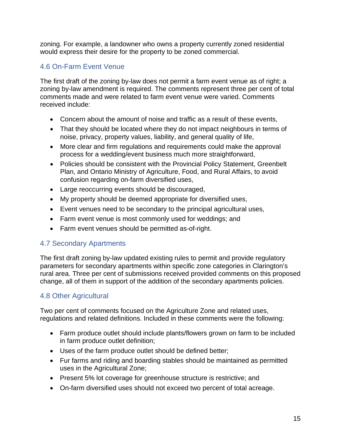zoning. For example, a landowner who owns a property currently zoned residential would express their desire for the property to be zoned commercial.

### <span id="page-15-0"></span>4.6 On-Farm Event Venue

The first draft of the zoning by-law does not permit a farm event venue as of right; a zoning by-law amendment is required. The comments represent three per cent of total comments made and were related to farm event venue were varied. Comments received include:

- Concern about the amount of noise and traffic as a result of these events,
- That they should be located where they do not impact neighbours in terms of noise, privacy, property values, liability, and general quality of life,
- More clear and firm regulations and requirements could make the approval process for a wedding/event business much more straightforward,
- Policies should be consistent with the Provincial Policy Statement, Greenbelt Plan, and Ontario Ministry of Agriculture, Food, and Rural Affairs, to avoid confusion regarding on-farm diversified uses,
- Large reoccurring events should be discouraged,
- My property should be deemed appropriate for diversified uses,
- Event venues need to be secondary to the principal agricultural uses,
- Farm event venue is most commonly used for weddings; and
- Farm event venues should be permitted as-of-right.

#### <span id="page-15-1"></span>4.7 Secondary Apartments

The first draft zoning by-law updated existing rules to permit and provide regulatory parameters for secondary apartments within specific zone categories in Clarington's rural area. Three per cent of submissions received provided comments on this proposed change, all of them in support of the addition of the secondary apartments policies.

#### <span id="page-15-2"></span>4.8 Other Agricultural

Two per cent of comments focused on the Agriculture Zone and related uses, regulations and related definitions. Included in these comments were the following:

- Farm produce outlet should include plants/flowers grown on farm to be included in farm produce outlet definition;
- Uses of the farm produce outlet should be defined better;
- Fur farms and riding and boarding stables should be maintained as permitted uses in the Agricultural Zone;
- Present 5% lot coverage for greenhouse structure is restrictive; and
- On-farm diversified uses should not exceed two percent of total acreage.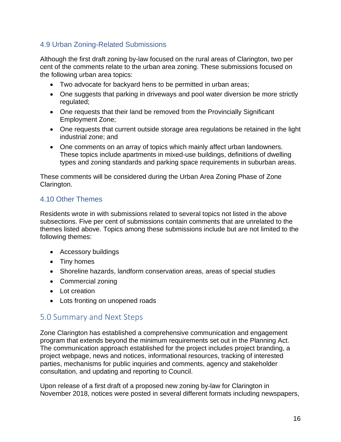### <span id="page-16-0"></span>4.9 Urban Zoning-Related Submissions

Although the first draft zoning by-law focused on the rural areas of Clarington, two per cent of the comments relate to the urban area zoning. These submissions focused on the following urban area topics:

- Two advocate for backyard hens to be permitted in urban areas;
- One suggests that parking in driveways and pool water diversion be more strictly regulated;
- One requests that their land be removed from the Provincially Significant Employment Zone;
- One requests that current outside storage area regulations be retained in the light industrial zone; and
- One comments on an array of topics which mainly affect urban landowners. These topics include apartments in mixed-use buildings, definitions of dwelling types and zoning standards and parking space requirements in suburban areas.

These comments will be considered during the Urban Area Zoning Phase of Zone Clarington.

### <span id="page-16-1"></span>4.10 Other Themes

Residents wrote in with submissions related to several topics not listed in the above subsections. Five per cent of submissions contain comments that are unrelated to the themes listed above. Topics among these submissions include but are not limited to the following themes:

- Accessory buildings
- Tiny homes
- Shoreline hazards, landform conservation areas, areas of special studies
- Commercial zoning
- Lot creation
- Lots fronting on unopened roads

## <span id="page-16-2"></span>5.0 Summary and Next Steps

Zone Clarington has established a comprehensive communication and engagement program that extends beyond the minimum requirements set out in the Planning Act. The communication approach established for the project includes project branding, a project webpage, news and notices, informational resources, tracking of interested parties, mechanisms for public inquiries and comments, agency and stakeholder consultation, and updating and reporting to Council.

Upon release of a first draft of a proposed new zoning by-law for Clarington in November 2018, notices were posted in several different formats including newspapers,